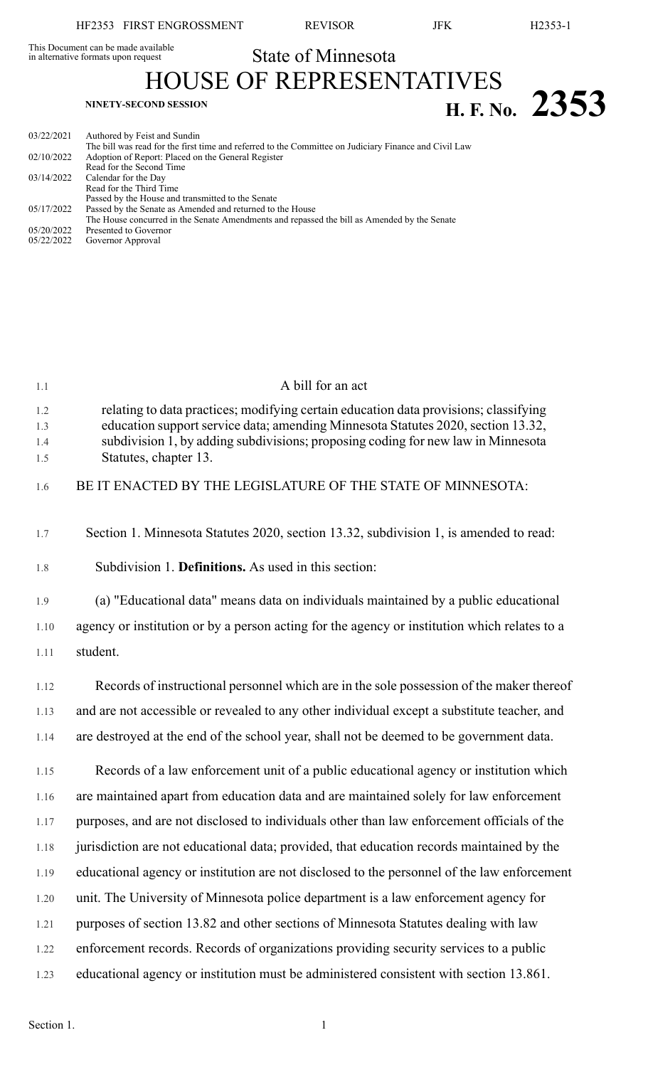**H. F.** No. 2353

This Document can be made available<br>in alternative formats upon request

State of Minnesota HOUSE OF REPRESENTATIVES

| 03/22/2021 | Authored by Feist and Sundin                                                                          |
|------------|-------------------------------------------------------------------------------------------------------|
|            | The bill was read for the first time and referred to the Committee on Judiciary Finance and Civil Law |
| 02/10/2022 | Adoption of Report: Placed on the General Register                                                    |
|            | Read for the Second Time                                                                              |
| 03/14/2022 | Calendar for the Day                                                                                  |
|            | Read for the Third Time                                                                               |
|            | Passed by the House and transmitted to the Senate                                                     |
| 05/17/2022 | Passed by the Senate as Amended and returned to the House                                             |
|            | The House concurred in the Senate Amendments and repassed the bill as Amended by the Senate           |
| 05/20/2022 | Presented to Governor                                                                                 |
| 05/22/2022 | Governor Approval                                                                                     |

| 1.1                      | A bill for an act                                                                                                                                                                                                                                                                     |
|--------------------------|---------------------------------------------------------------------------------------------------------------------------------------------------------------------------------------------------------------------------------------------------------------------------------------|
| 1.2<br>1.3<br>1.4<br>1.5 | relating to data practices; modifying certain education data provisions; classifying<br>education support service data; amending Minnesota Statutes 2020, section 13.32,<br>subdivision 1, by adding subdivisions; proposing coding for new law in Minnesota<br>Statutes, chapter 13. |
| 1.6                      | BE IT ENACTED BY THE LEGISLATURE OF THE STATE OF MINNESOTA:                                                                                                                                                                                                                           |
| 1.7                      | Section 1. Minnesota Statutes 2020, section 13.32, subdivision 1, is amended to read:                                                                                                                                                                                                 |
| 1.8                      | Subdivision 1. <b>Definitions.</b> As used in this section:                                                                                                                                                                                                                           |
| 1.9                      | (a) "Educational data" means data on individuals maintained by a public educational                                                                                                                                                                                                   |
| 1.10                     | agency or institution or by a person acting for the agency or institution which relates to a                                                                                                                                                                                          |
| 1.11                     | student.                                                                                                                                                                                                                                                                              |
| 1.12                     | Records of instructional personnel which are in the sole possession of the maker thereof                                                                                                                                                                                              |
| 1.13                     | and are not accessible or revealed to any other individual except a substitute teacher, and                                                                                                                                                                                           |
| 1.14                     | are destroyed at the end of the school year, shall not be deemed to be government data.                                                                                                                                                                                               |
| 1.15                     | Records of a law enforcement unit of a public educational agency or institution which                                                                                                                                                                                                 |
| 1.16                     | are maintained apart from education data and are maintained solely for law enforcement                                                                                                                                                                                                |
| 1.17                     | purposes, and are not disclosed to individuals other than law enforcement officials of the                                                                                                                                                                                            |
| 1.18                     | jurisdiction are not educational data; provided, that education records maintained by the                                                                                                                                                                                             |
| 1.19                     | educational agency or institution are not disclosed to the personnel of the law enforcement                                                                                                                                                                                           |
| $1.20\,$                 | unit. The University of Minnesota police department is a law enforcement agency for                                                                                                                                                                                                   |
| 1.21                     | purposes of section 13.82 and other sections of Minnesota Statutes dealing with law                                                                                                                                                                                                   |
| 1.22                     | enforcement records. Records of organizations providing security services to a public                                                                                                                                                                                                 |
| 1.23                     | educational agency or institution must be administered consistent with section 13.861.                                                                                                                                                                                                |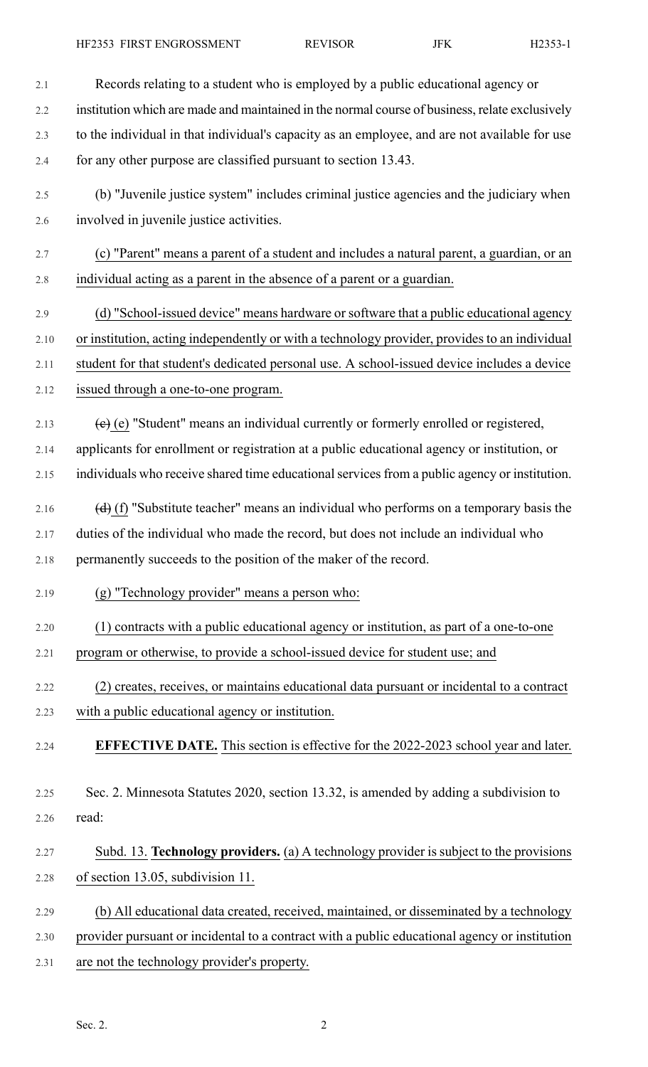HF2353 FIRST ENGROSSMENT REVISOR JFK H2353-1

- 2.1 Records relating to a student who is employed by a public educational agency or 2.2 institution which are made and maintained in the normal course of business, relate exclusively 2.3 to the individual in that individual's capacity as an employee, and are not available for use 2.4 for any other purpose are classified pursuant to section 13.43. 2.5 (b) "Juvenile justice system" includes criminal justice agencies and the judiciary when 2.6 involved in juvenile justice activities. 2.7 (c) "Parent" means a parent of a student and includes a natural parent, a guardian, or an 2.8 individual acting as a parent in the absence of a parent or a guardian. 2.9 (d) "School-issued device" means hardware or software that a public educational agency 2.10 or institution, acting independently or with a technology provider, provides to an individual 2.11 student for that student's dedicated personal use. A school-issued device includes a device 2.12 issued through a one-to-one program. 2.13  $\left(e\right)(e)$  "Student" means an individual currently or formerly enrolled or registered, 2.14 applicants for enrollment or registration at a public educational agency or institution, or 2.15 individuals who receive shared time educational services from a public agency or institution. 2.16  $\left(\frac{d}{d}\right)$  (f) "Substitute teacher" means an individual who performs on a temporary basis the 2.17 duties of the individual who made the record, but does not include an individual who 2.18 permanently succeeds to the position of the maker of the record. 2.19 (g) "Technology provider" means a person who: 2.20 (1) contracts with a public educational agency or institution, as part of a one-to-one 2.21 program or otherwise, to provide a school-issued device for student use; and 2.22 (2) creates, receives, or maintains educational data pursuant or incidental to a contract 2.23 with a public educational agency or institution. 2.24 **EFFECTIVE DATE.** This section is effective for the 2022-2023 school year and later. 2.25 Sec. 2. Minnesota Statutes 2020, section 13.32, is amended by adding a subdivision to 2.26 read: 2.27 Subd. 13. **Technology providers.** (a) A technology provider is subject to the provisions 2.28 of section 13.05, subdivision 11. 2.29 (b) All educational data created, received, maintained, or disseminated by a technology 2.30 provider pursuant or incidental to a contract with a public educational agency or institution
- 2.31 are not the technology provider's property.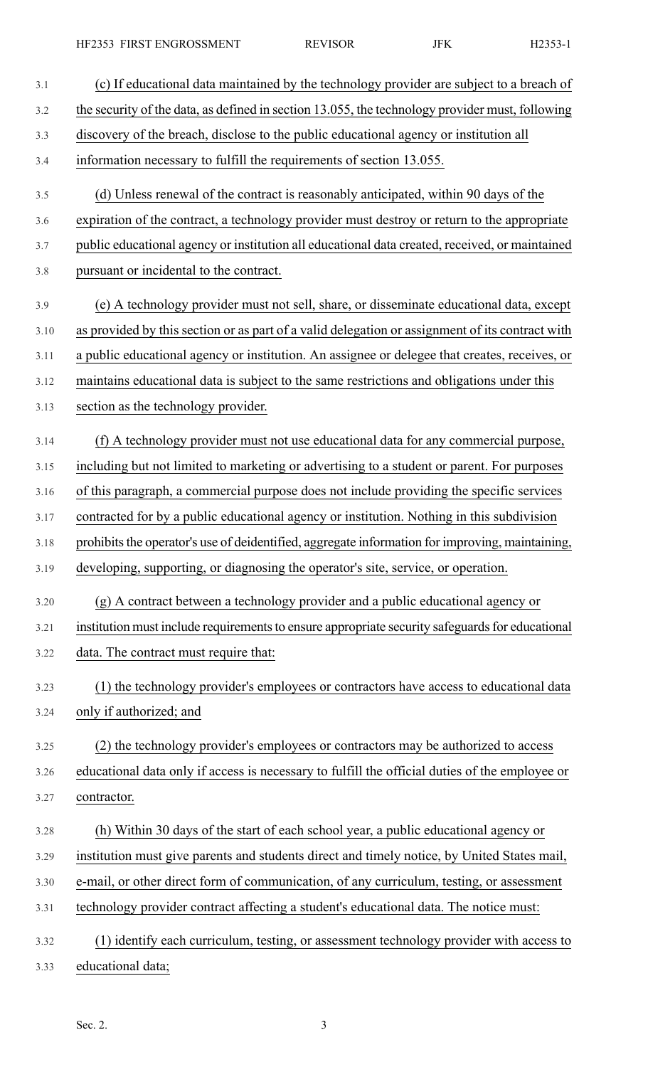HF2353 FIRST ENGROSSMENT REVISOR JFK H2353-1

| 3.1  | (c) If educational data maintained by the technology provider are subject to a breach of        |
|------|-------------------------------------------------------------------------------------------------|
| 3.2  | the security of the data, as defined in section 13.055, the technology provider must, following |
| 3.3  | discovery of the breach, disclose to the public educational agency or institution all           |
| 3.4  | information necessary to fulfill the requirements of section 13.055.                            |
| 3.5  | (d) Unless renewal of the contract is reasonably anticipated, within 90 days of the             |
| 3.6  | expiration of the contract, a technology provider must destroy or return to the appropriate     |
| 3.7  | public educational agency or institution all educational data created, received, or maintained  |
| 3.8  | pursuant or incidental to the contract.                                                         |
| 3.9  | (e) A technology provider must not sell, share, or disseminate educational data, except         |
| 3.10 | as provided by this section or as part of a valid delegation or assignment of its contract with |
| 3.11 | a public educational agency or institution. An assignee or delegee that creates, receives, or   |
| 3.12 | maintains educational data is subject to the same restrictions and obligations under this       |
| 3.13 | section as the technology provider.                                                             |
| 3.14 | (f) A technology provider must not use educational data for any commercial purpose,             |
| 3.15 | including but not limited to marketing or advertising to a student or parent. For purposes      |
| 3.16 | of this paragraph, a commercial purpose does not include providing the specific services        |
| 3.17 | contracted for by a public educational agency or institution. Nothing in this subdivision       |
| 3.18 | prohibits the operator's use of deidentified, aggregate information for improving, maintaining, |
| 3.19 | developing, supporting, or diagnosing the operator's site, service, or operation.               |
| 3.20 | (g) A contract between a technology provider and a public educational agency or                 |
| 3.21 | institution must include requirements to ensure appropriate security safeguards for educational |
| 3.22 | data. The contract must require that:                                                           |
| 3.23 | (1) the technology provider's employees or contractors have access to educational data          |
| 3.24 | only if authorized; and                                                                         |
| 3.25 | (2) the technology provider's employees or contractors may be authorized to access              |
| 3.26 | educational data only if access is necessary to fulfill the official duties of the employee or  |
| 3.27 | contractor.                                                                                     |
| 3.28 | (h) Within 30 days of the start of each school year, a public educational agency or             |
| 3.29 | institution must give parents and students direct and timely notice, by United States mail,     |
| 3.30 | e-mail, or other direct form of communication, of any curriculum, testing, or assessment        |
| 3.31 | technology provider contract affecting a student's educational data. The notice must:           |
| 3.32 | (1) identify each curriculum, testing, or assessment technology provider with access to         |
| 3.33 | educational data;                                                                               |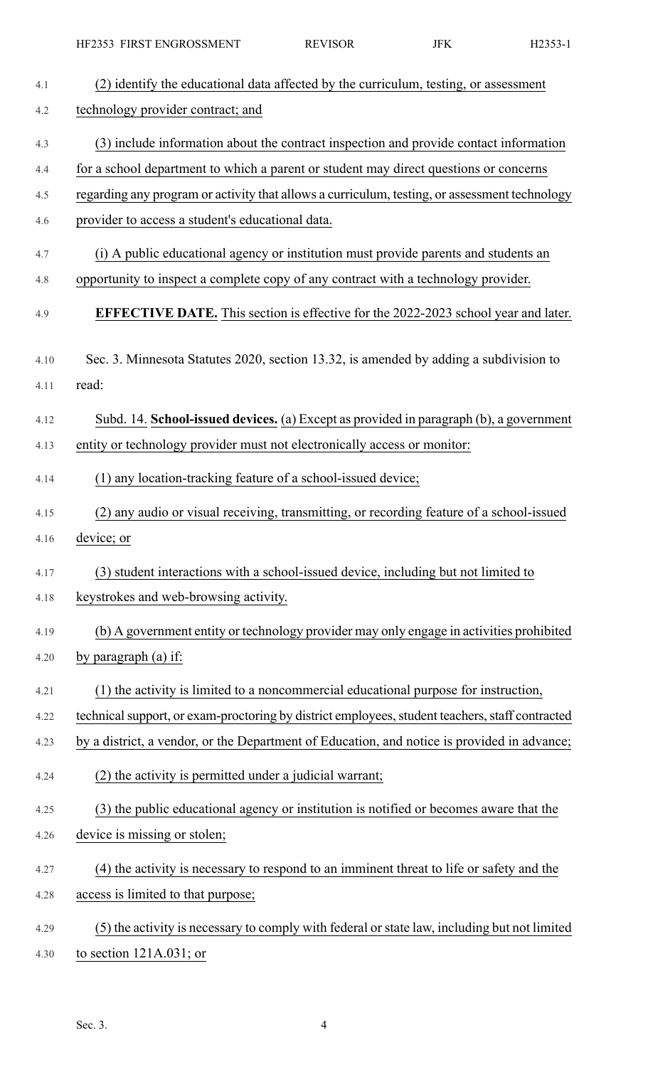| 4.1  | (2) identify the educational data affected by the curriculum, testing, or assessment            |
|------|-------------------------------------------------------------------------------------------------|
| 4.2  | technology provider contract; and                                                               |
| 4.3  | (3) include information about the contract inspection and provide contact information           |
| 4.4  | for a school department to which a parent or student may direct questions or concerns           |
| 4.5  | regarding any program or activity that allows a curriculum, testing, or assessment technology   |
| 4.6  | provider to access a student's educational data.                                                |
| 4.7  | (i) A public educational agency or institution must provide parents and students an             |
| 4.8  | opportunity to inspect a complete copy of any contract with a technology provider.              |
| 4.9  | <b>EFFECTIVE DATE.</b> This section is effective for the 2022-2023 school year and later.       |
| 4.10 | Sec. 3. Minnesota Statutes 2020, section 13.32, is amended by adding a subdivision to           |
| 4.11 | read:                                                                                           |
| 4.12 | Subd. 14. School-issued devices. (a) Except as provided in paragraph (b), a government          |
| 4.13 | entity or technology provider must not electronically access or monitor:                        |
| 4.14 | (1) any location-tracking feature of a school-issued device;                                    |
| 4.15 | (2) any audio or visual receiving, transmitting, or recording feature of a school-issued        |
| 4.16 | device; or                                                                                      |
| 4.17 | (3) student interactions with a school-issued device, including but not limited to              |
| 4.18 | keystrokes and web-browsing activity.                                                           |
| 4.19 | (b) A government entity or technology provider may only engage in activities prohibited         |
| 4.20 | by paragraph (a) if:                                                                            |
| 4.21 | (1) the activity is limited to a noncommercial educational purpose for instruction,             |
| 4.22 | technical support, or exam-proctoring by district employees, student teachers, staff contracted |
| 4.23 | by a district, a vendor, or the Department of Education, and notice is provided in advance;     |
| 4.24 | (2) the activity is permitted under a judicial warrant;                                         |
| 4.25 | (3) the public educational agency or institution is notified or becomes aware that the          |
| 4.26 | device is missing or stolen;                                                                    |
| 4.27 | (4) the activity is necessary to respond to an imminent threat to life or safety and the        |
| 4.28 | access is limited to that purpose;                                                              |
| 4.29 | (5) the activity is necessary to comply with federal or state law, including but not limited    |
| 4.30 | to section $121A.031$ ; or                                                                      |